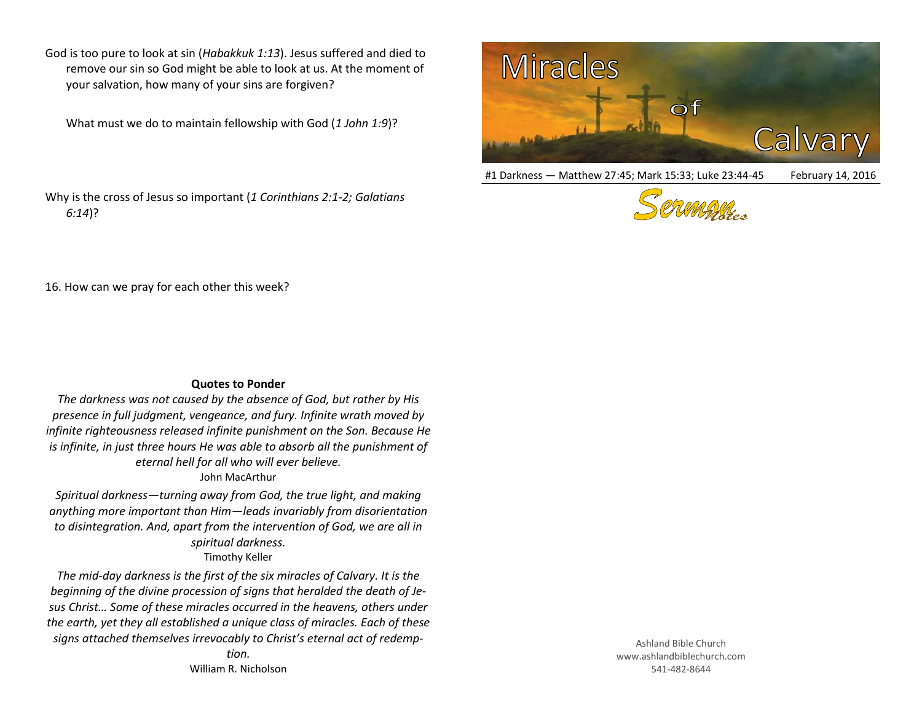God is too pure to look at sin (*Habakkuk 1:13*). Jesus suffered and died to remove our sin so God might be able to look at us. At the moment of your salvation, how many of your sins are forgiven?

What must we do to maintain fellowship with God (*1 John 1:9*)?

Why is the cross of Jesus so important (*1 Corinthians 2:1-2; Galatians 6:14*)?



#1 Darkness — Matthew 27:45; Mark 15:33; Luke 23:44-45 February 14, 2016



16. How can we pray for each other this week?

## **Quotes to Ponder**

*The darkness was not caused by the absence of God, but rather by His presence in full judgment, vengeance, and fury. Infinite wrath moved by infinite righteousness released infinite punishment on the Son. Because He is infinite, in just three hours He was able to absorb all the punishment of eternal hell for all who will ever believe.* John MacArthur

*Spiritual darkness—turning away from God, the true light, and making anything more important than Him—leads invariably from disorientation to disintegration. And, apart from the intervention of God, we are all in spiritual darkness.* Timothy Keller

*The mid-day darkness is the first of the six miracles of Calvary. It is the beginning of the divine procession of signs that heralded the death of Jesus Christ… Some of these miracles occurred in the heavens, others under the earth, yet they all established a unique class of miracles. Each of these signs attached themselves irrevocably to Christ's eternal act of redemp-*

> *tion.* William R. Nicholson

Ashland Bible Church www.ashlandbiblechurch.com 541-482-8644